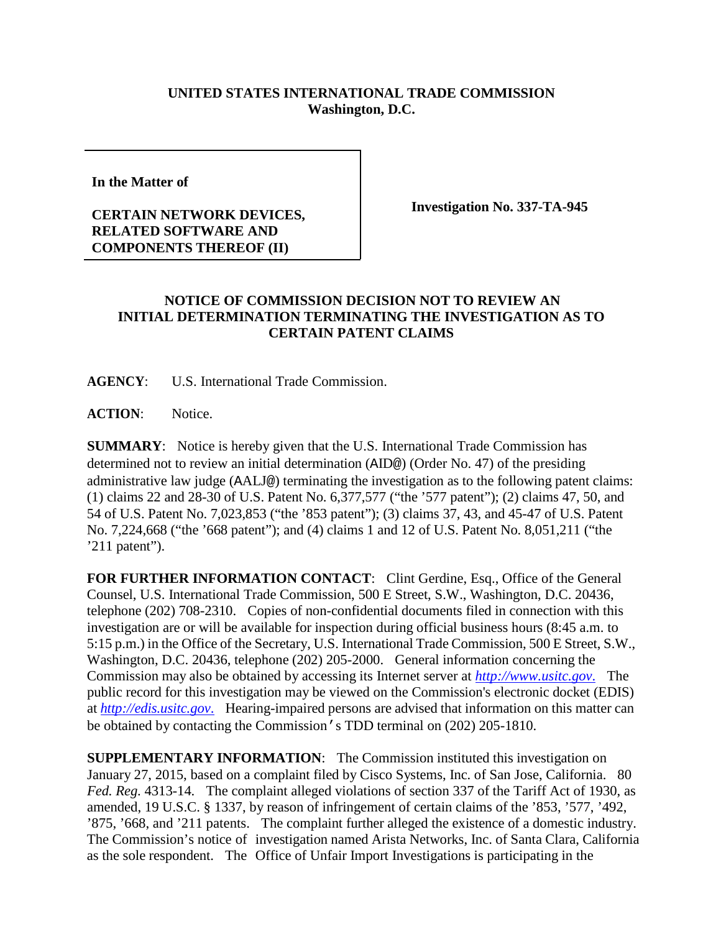## **UNITED STATES INTERNATIONAL TRADE COMMISSION Washington, D.C.**

**In the Matter of**

## **CERTAIN NETWORK DEVICES, RELATED SOFTWARE AND COMPONENTS THEREOF (II)**

**Investigation No. 337-TA-945**

## **NOTICE OF COMMISSION DECISION NOT TO REVIEW AN INITIAL DETERMINATION TERMINATING THE INVESTIGATION AS TO CERTAIN PATENT CLAIMS**

**AGENCY**: U.S. International Trade Commission.

**ACTION**: Notice.

**SUMMARY**: Notice is hereby given that the U.S. International Trade Commission has determined not to review an initial determination (AID@) (Order No. 47) of the presiding administrative law judge (AALJ@) terminating the investigation as to the following patent claims: (1) claims 22 and 28-30 of U.S. Patent No. 6,377,577 ("the '577 patent"); (2) claims 47, 50, and 54 of U.S. Patent No. 7,023,853 ("the '853 patent"); (3) claims 37, 43, and 45-47 of U.S. Patent No. 7,224,668 ("the '668 patent"); and (4) claims 1 and 12 of U.S. Patent No. 8,051,211 ("the '211 patent").

**FOR FURTHER INFORMATION CONTACT**: Clint Gerdine, Esq., Office of the General Counsel, U.S. International Trade Commission, 500 E Street, S.W., Washington, D.C. 20436, telephone (202) 708-2310. Copies of non-confidential documents filed in connection with this investigation are or will be available for inspection during official business hours (8:45 a.m. to 5:15 p.m.) in the Office of the Secretary, U.S. International Trade Commission, 500 E Street, S.W., Washington, D.C. 20436, telephone (202) 205-2000. General information concerning the Commission may also be obtained by accessing its Internet server at *[http://www.usitc.gov](http://www.usitc.gov./)*. The public record for this investigation may be viewed on the Commission's electronic docket (EDIS) at *[http://edis.usitc.gov](http://edis.usitc.gov./)*. Hearing-impaired persons are advised that information on this matter can be obtained by contacting the Commission's TDD terminal on (202) 205-1810.

**SUPPLEMENTARY INFORMATION**: The Commission instituted this investigation on January 27, 2015, based on a complaint filed by Cisco Systems, Inc. of San Jose, California. 80 *Fed. Reg.* 4313-14. The complaint alleged violations of section 337 of the Tariff Act of 1930, as amended, 19 U.S.C. § 1337, by reason of infringement of certain claims of the '853, '577, '492, '875, '668, and '211 patents. The complaint further alleged the existence of a domestic industry. The Commission's notice of investigation named Arista Networks, Inc. of Santa Clara, California as the sole respondent. The Office of Unfair Import Investigations is participating in the